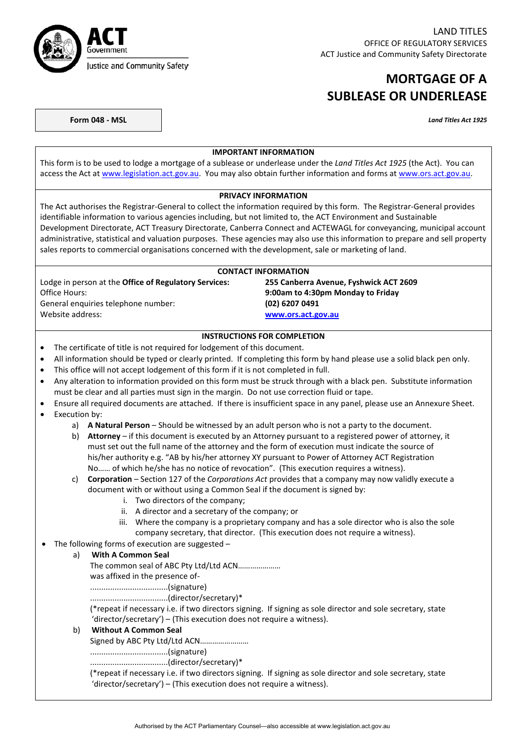

## **MORTGAGE OF A SUBLEASE OR UNDERLEASE**

**Form 048 - MSL** *Land Titles Act 1925*

## **IMPORTANT INFORMATION**

This form is to be used to lodge a mortgage of a sublease or underlease under the *Land Titles Act 1925* (the Act). You can access the Act at [www.legislation.act.gov.au.](http://www.legislation.act.gov.au/) You may also obtain further information and forms a[t www.ors.act.gov.au.](http://www.ors.act.gov.au/)

#### **PRIVACY INFORMATION**

The Act authorises the Registrar-General to collect the information required by this form. The Registrar-General provides identifiable information to various agencies including, but not limited to, the ACT Environment and Sustainable Development Directorate, ACT Treasury Directorate, Canberra Connect and ACTEWAGL for conveyancing, municipal account administrative, statistical and valuation purposes. These agencies may also use this information to prepare and sell property sales reports to commercial organisations concerned with the development, sale or marketing of land.

| <b>CONTACT INFORMATION</b>                                   |                                        |  |
|--------------------------------------------------------------|----------------------------------------|--|
| Lodge in person at the <b>Office of Regulatory Services:</b> | 255 Canberra Avenue, Fyshwick ACT 2609 |  |
| Office Hours:                                                | 9:00am to 4:30pm Monday to Friday      |  |
| General enguiries telephone number:                          | (02) 6207 0491                         |  |
| Website address:                                             | www.ors.act.gov.au                     |  |

### **INSTRUCTIONS FOR COMPLETION**

- The certificate of title is not required for lodgement of this document.
- All information should be typed or clearly printed. If completing this form by hand please use a solid black pen only.
- This office will not accept lodgement of this form if it is not completed in full.
- Any alteration to information provided on this form must be struck through with a black pen. Substitute information must be clear and all parties must sign in the margin. Do not use correction fluid or tape.
- Ensure all required documents are attached. If there is insufficient space in any panel, please use an Annexure Sheet.
- Execution by:
	- a) **A Natural Person** Should be witnessed by an adult person who is not a party to the document.
	- b) **Attorney** if this document is executed by an Attorney pursuant to a registered power of attorney, it must set out the full name of the attorney and the form of execution must indicate the source of his/her authority e.g. "AB by his/her attorney XY pursuant to Power of Attorney ACT Registration No…… of which he/she has no notice of revocation". (This execution requires a witness).

## c) **Corporation** – Section 127 of the *Corporations Act* provides that a company may now validly execute a document with or without using a Common Seal if the document is signed by:

- i. Two directors of the company;
- ii. A director and a secretary of the company; or
- iii. Where the company is a proprietary company and has a sole director who is also the sole company secretary, that director. (This execution does not require a witness).
- The following forms of execution are suggested –

## a) **With A Common Seal**

The common seal of ABC Pty Ltd/Ltd ACN…………………

was affixed in the presence of-

...................................(signature)

...................................(director/secretary)\*

(\*repeat if necessary i.e. if two directors signing. If signing as sole director and sole secretary, state 'director/secretary') – (This execution does not require a witness).

### b) **Without A Common Seal**

Signed by ABC Pty Ltd/Ltd ACN……………………

...................................(signature)

...................................(director/secretary)\*

(\*repeat if necessary i.e. if two directors signing. If signing as sole director and sole secretary, state 'director/secretary') – (This execution does not require a witness).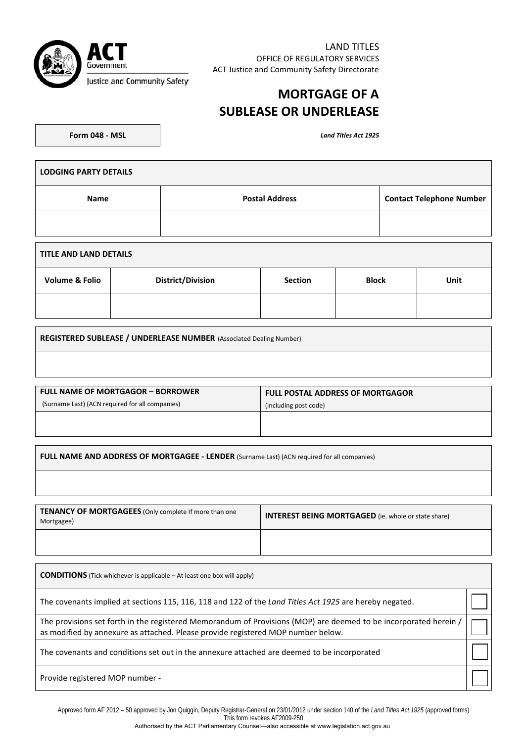

LAND TITLES OFFICE OF REGULATORY SERVICES ACT Justice and Community Safety Directorate

# **MORTGAGE OF A SUBLEASE OR UNDERLEASE**

**Form 048 - MSL** *Land Titles Act 1925*

| <b>LODGING PARTY DETAILS</b> |                       |                                 |
|------------------------------|-----------------------|---------------------------------|
| <b>Name</b>                  | <b>Postal Address</b> | <b>Contact Telephone Number</b> |
|                              |                       |                                 |
|                              |                       |                                 |

| TITLE AND LAND DETAILS    |                          |                |              |      |
|---------------------------|--------------------------|----------------|--------------|------|
| <b>Volume &amp; Folio</b> | <b>District/Division</b> | <b>Section</b> | <b>Block</b> | Unit |
|                           |                          |                |              |      |

**REGISTERED SUBLEASE / UNDERLEASE NUMBER** (Associated Dealing Number)

| <b>FULL NAME OF MORTGAGOR - BORROWER</b>        | <b>FULL POSTAL ADDRESS OF MORTGAGOR</b> |  |
|-------------------------------------------------|-----------------------------------------|--|
| (Surname Last) (ACN required for all companies) | (including post code)                   |  |
|                                                 |                                         |  |
|                                                 |                                         |  |

**FULL NAME AND ADDRESS OF MORTGAGEE - LENDER** (Surname Last) (ACN required for all companies)

| <b>TENANCY OF MORTGAGEES</b> (Only complete If more than one<br>Mortgagee) | <b>INTEREST BEING MORTGAGED</b> (ie. whole or state share) |
|----------------------------------------------------------------------------|------------------------------------------------------------|
|                                                                            |                                                            |

| <b>CONDITIONS</b> (Tick whichever is applicable – At least one box will apply)                                                                                                                       |  |
|------------------------------------------------------------------------------------------------------------------------------------------------------------------------------------------------------|--|
| The covenants implied at sections 115, 116, 118 and 122 of the Land Titles Act 1925 are hereby negated.                                                                                              |  |
| The provisions set forth in the registered Memorandum of Provisions (MOP) are deemed to be incorporated herein /<br>as modified by annexure as attached. Please provide registered MOP number below. |  |
| The covenants and conditions set out in the annexure attached are deemed to be incorporated                                                                                                          |  |
| Provide registered MOP number -                                                                                                                                                                      |  |